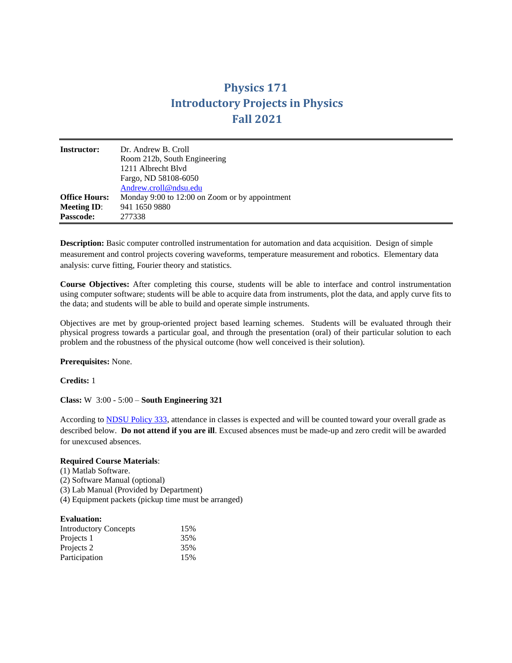## **Physics 171 Introductory Projects in Physics Fall 2021**

| <b>Instructor:</b>                         | Dr. Andrew B. Croll<br>Room 212b, South Engineering<br>1211 Albrecht Blvd<br>Fargo, ND 58108-6050<br>Andrew.croll@ndsu.edu |  |
|--------------------------------------------|----------------------------------------------------------------------------------------------------------------------------|--|
| <b>Office Hours:</b><br><b>Meeting ID:</b> | Monday 9:00 to 12:00 on Zoom or by appointment<br>941 1650 9880                                                            |  |
| <b>Passcode:</b>                           | 277338                                                                                                                     |  |

**Description:** Basic computer controlled instrumentation for automation and data acquisition. Design of simple measurement and control projects covering waveforms, temperature measurement and robotics. Elementary data analysis: curve fitting, Fourier theory and statistics.

**Course Objectives:** After completing this course, students will be able to interface and control instrumentation using computer software; students will be able to acquire data from instruments, plot the data, and apply curve fits to the data; and students will be able to build and operate simple instruments.

Objectives are met by group-oriented project based learning schemes. Students will be evaluated through their physical progress towards a particular goal, and through the presentation (oral) of their particular solution to each problem and the robustness of the physical outcome (how well conceived is their solution).

**Prerequisites:** None.

**Credits:** 1

**Class:** W 3:00 - 5:00 – **South Engineering 321**

According to [NDSU Policy 333,](http://www.ndsu.edu/fileadmin/policy/333.pdf) attendance in classes is expected and will be counted toward your overall grade as described below. **Do not attend if you are ill**. Excused absences must be made-up and zero credit will be awarded for unexcused absences.

## **Required Course Materials**:

(1) Matlab Software. (2) Software Manual (optional) (3) Lab Manual (Provided by Department) (4) Equipment packets (pickup time must be arranged)

| <b>Evaluation:</b> |
|--------------------|
|                    |

| <b>Introductory Concepts</b> | 15% |
|------------------------------|-----|
| Projects 1                   | 35% |
| Projects 2                   | 35% |
| Participation                | 15% |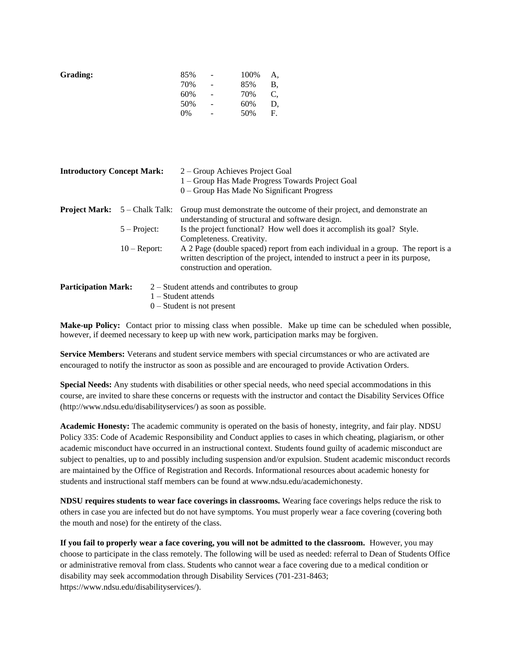| 85% | $\overline{\phantom{m}}$ | 100% | А, |
|-----|--------------------------|------|----|
| 70% | $\qquad \qquad -$        | 85%  | B, |
| 60% | $\qquad \qquad -$        | 70%  | С, |
| 50% | $\overline{\phantom{0}}$ | 60%  | D, |
| 0%  | -                        | 50%  | F. |
|     |                          |      |    |

| <b>Introductory Concept Mark:</b> |                                        | 2 – Group Achieves Project Goal<br>1 - Group Has Made Progress Towards Project Goal<br>$0 -$ Group Has Made No Significant Progress                                                                |
|-----------------------------------|----------------------------------------|----------------------------------------------------------------------------------------------------------------------------------------------------------------------------------------------------|
|                                   | <b>Project Mark:</b> $5 -$ Chalk Talk: | Group must demonstrate the outcome of their project, and demonstrate an<br>understanding of structural and software design.                                                                        |
|                                   | $5 - Project:$                         | Is the project functional? How well does it accomplish its goal? Style.<br>Completeness. Creativity.                                                                                               |
|                                   | $10 -$ Report:                         | A 2 Page (double spaced) report from each individual in a group. The report is a<br>written description of the project, intended to instruct a peer in its purpose,<br>construction and operation. |
| <b>Participation Mark:</b>        |                                        | $2 -$ Student attends and contributes to group<br>$1 -$ Student attends                                                                                                                            |

0 – Student is not present

**Make-up Policy:** Contact prior to missing class when possible. Make up time can be scheduled when possible, however, if deemed necessary to keep up with new work, participation marks may be forgiven.

**Service Members:** Veterans and student service members with special circumstances or who are activated are encouraged to notify the instructor as soon as possible and are encouraged to provide Activation Orders.

**Special Needs:** Any students with disabilities or other special needs, who need special accommodations in this course, are invited to share these concerns or requests with the instructor and contact the Disability Services Office (http://www.ndsu.edu/disabilityservices/) as soon as possible.

**Academic Honesty:** The academic community is operated on the basis of honesty, integrity, and fair play. NDSU Policy 335: Code of Academic Responsibility and Conduct applies to cases in which cheating, plagiarism, or other academic misconduct have occurred in an instructional context. Students found guilty of academic misconduct are subject to penalties, up to and possibly including suspension and/or expulsion. Student academic misconduct records are maintained by the Office of Registration and Records. Informational resources about academic honesty for students and instructional staff members can be found at www.ndsu.edu/academichonesty.

**NDSU requires students to wear face coverings in classrooms.** Wearing face coverings helps reduce the risk to others in case you are infected but do not have symptoms. You must properly wear a face covering (covering both the mouth and nose) for the entirety of the class.

**If you fail to properly wear a face covering, you will not be admitted to the classroom.** However, you may choose to participate in the class remotely. The following will be used as needed: referral to Dean of Students Office or administrative removal from class. Students who cannot wear a face covering due to a medical condition or disability may seek accommodation through Disability Services (701-231-8463; https://www.ndsu.edu/disabilityservices/).